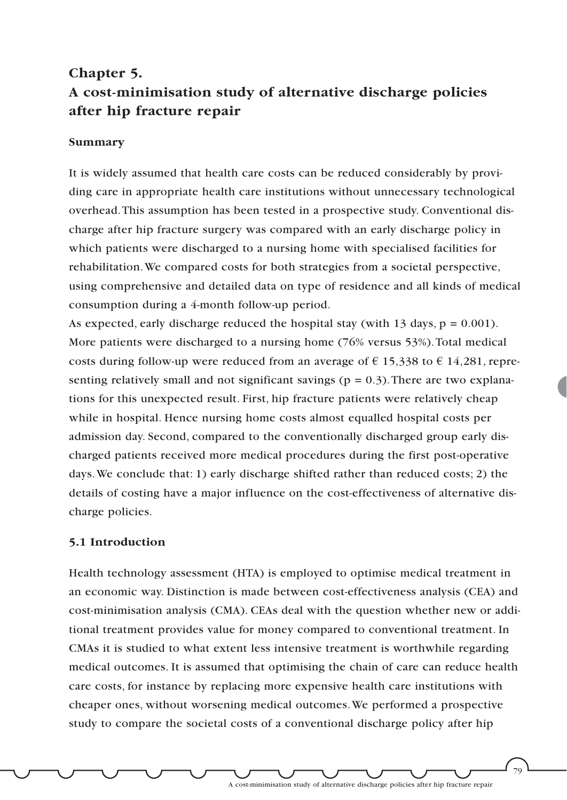# **Chapter 5. A cost-minimisation study of alternative discharge policies after hip fracture repair**

#### **Summary**

It is widely assumed that health care costs can be reduced considerably by providing care in appropriate health care institutions without unnecessary technological overhead.This assumption has been tested in a prospective study. Conventional discharge after hip fracture surgery was compared with an early discharge policy in which patients were discharged to a nursing home with specialised facilities for rehabilitation.We compared costs for both strategies from a societal perspective, using comprehensive and detailed data on type of residence and all kinds of medical consumption during a 4-month follow-up period.

As expected, early discharge reduced the hospital stay (with 13 days,  $p = 0.001$ ). More patients were discharged to a nursing home (76% versus 53%).Total medical costs during follow-up were reduced from an average of  $\epsilon$  15,338 to  $\epsilon$  14,281, representing relatively small and not significant savings ( $p = 0.3$ ). There are two explanations for this unexpected result. First, hip fracture patients were relatively cheap while in hospital. Hence nursing home costs almost equalled hospital costs per admission day. Second, compared to the conventionally discharged group early discharged patients received more medical procedures during the first post-operative days.We conclude that: 1) early discharge shifted rather than reduced costs; 2) the details of costing have a major influence on the cost-effectiveness of alternative discharge policies.

#### **5.1 Introduction**

Health technology assessment (HTA) is employed to optimise medical treatment in an economic way. Distinction is made between cost-effectiveness analysis (CEA) and cost-minimisation analysis (CMA). CEAs deal with the question whether new or additional treatment provides value for money compared to conventional treatment. In CMAs it is studied to what extent less intensive treatment is worthwhile regarding medical outcomes. It is assumed that optimising the chain of care can reduce health care costs, for instance by replacing more expensive health care institutions with cheaper ones, without worsening medical outcomes.We performed a prospective study to compare the societal costs of a conventional discharge policy after hip

A cost-minimisation study of alternative discharge policies after hip fracture repair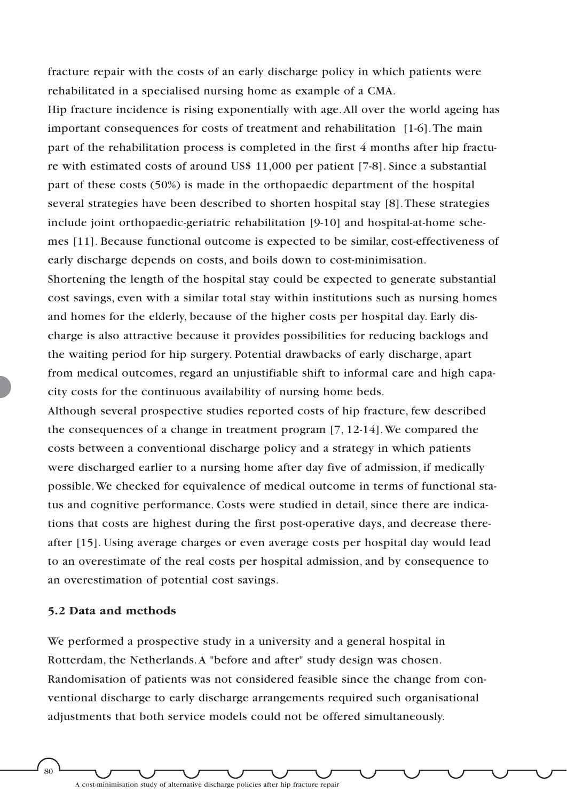fracture repair with the costs of an early discharge policy in which patients were rehabilitated in a specialised nursing home as example of a CMA.

Hip fracture incidence is rising exponentially with age.All over the world ageing has important consequences for costs of treatment and rehabilitation [1-6].The main part of the rehabilitation process is completed in the first 4 months after hip fracture with estimated costs of around US\$ 11,000 per patient [7-8]. Since a substantial part of these costs (50%) is made in the orthopaedic department of the hospital several strategies have been described to shorten hospital stay [8].These strategies include joint orthopaedic-geriatric rehabilitation [9-10] and hospital-at-home schemes [11]. Because functional outcome is expected to be similar, cost-effectiveness of early discharge depends on costs, and boils down to cost-minimisation.

Shortening the length of the hospital stay could be expected to generate substantial cost savings, even with a similar total stay within institutions such as nursing homes and homes for the elderly, because of the higher costs per hospital day. Early discharge is also attractive because it provides possibilities for reducing backlogs and the waiting period for hip surgery. Potential drawbacks of early discharge, apart from medical outcomes, regard an unjustifiable shift to informal care and high capacity costs for the continuous availability of nursing home beds.

Although several prospective studies reported costs of hip fracture, few described the consequences of a change in treatment program [7, 12-14].We compared the costs between a conventional discharge policy and a strategy in which patients were discharged earlier to a nursing home after day five of admission, if medically possible.We checked for equivalence of medical outcome in terms of functional status and cognitive performance. Costs were studied in detail, since there are indications that costs are highest during the first post-operative days, and decrease thereafter [15]. Using average charges or even average costs per hospital day would lead to an overestimate of the real costs per hospital admission, and by consequence to an overestimation of potential cost savings.

#### **5.2 Data and methods**

We performed a prospective study in a university and a general hospital in Rotterdam, the Netherlands.A "before and after" study design was chosen. Randomisation of patients was not considered feasible since the change from conventional discharge to early discharge arrangements required such organisational adjustments that both service models could not be offered simultaneously.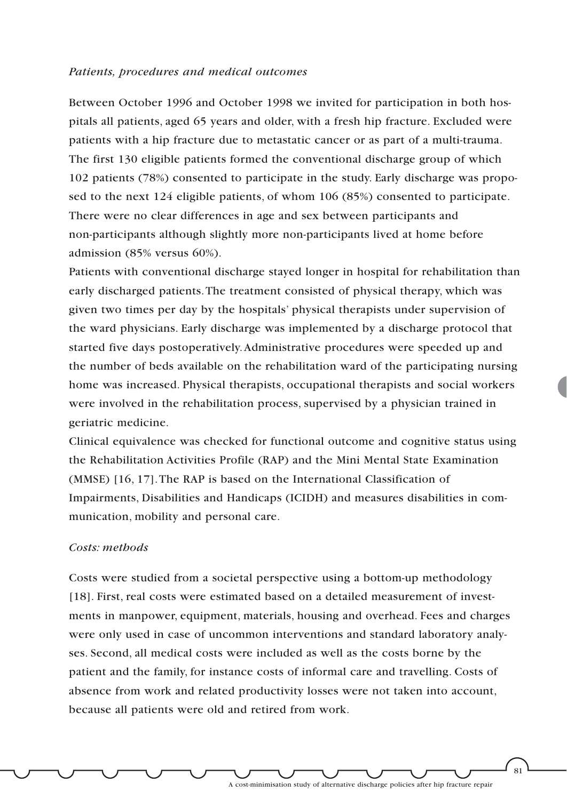#### *Patients, procedures and medical outcomes*

Between October 1996 and October 1998 we invited for participation in both hospitals all patients, aged 65 years and older, with a fresh hip fracture. Excluded were patients with a hip fracture due to metastatic cancer or as part of a multi-trauma. The first 130 eligible patients formed the conventional discharge group of which 102 patients (78%) consented to participate in the study. Early discharge was proposed to the next 124 eligible patients, of whom 106 (85%) consented to participate. There were no clear differences in age and sex between participants and non-participants although slightly more non-participants lived at home before admission (85% versus 60%).

Patients with conventional discharge stayed longer in hospital for rehabilitation than early discharged patients.The treatment consisted of physical therapy, which was given two times per day by the hospitals' physical therapists under supervision of the ward physicians. Early discharge was implemented by a discharge protocol that started five days postoperatively.Administrative procedures were speeded up and the number of beds available on the rehabilitation ward of the participating nursing home was increased. Physical therapists, occupational therapists and social workers were involved in the rehabilitation process, supervised by a physician trained in geriatric medicine.

Clinical equivalence was checked for functional outcome and cognitive status using the Rehabilitation Activities Profile (RAP) and the Mini Mental State Examination (MMSE) [16, 17].The RAP is based on the International Classification of Impairments, Disabilities and Handicaps (ICIDH) and measures disabilities in communication, mobility and personal care.

#### *Costs: methods*

Costs were studied from a societal perspective using a bottom-up methodology [18]. First, real costs were estimated based on a detailed measurement of investments in manpower, equipment, materials, housing and overhead. Fees and charges were only used in case of uncommon interventions and standard laboratory analyses. Second, all medical costs were included as well as the costs borne by the patient and the family, for instance costs of informal care and travelling. Costs of absence from work and related productivity losses were not taken into account, because all patients were old and retired from work.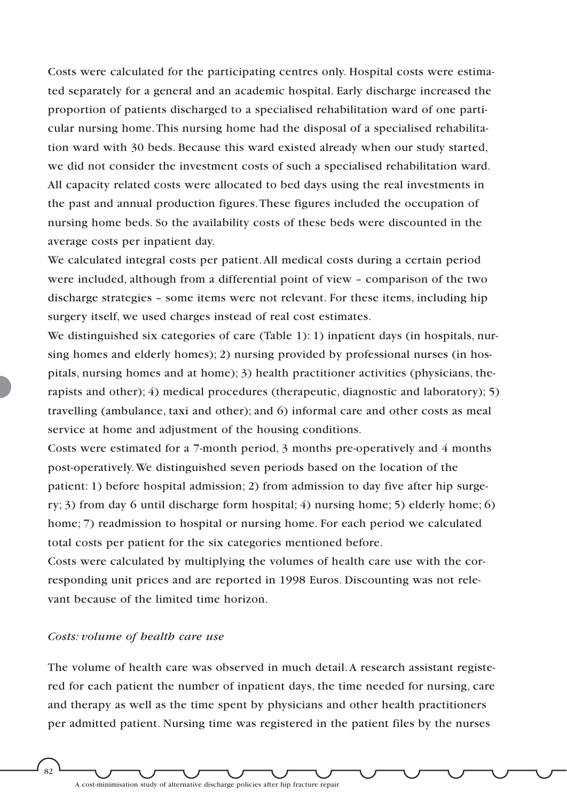Costs were calculated for the participating centres only. Hospital costs were estimated separately for a general and an academic hospital. Early discharge increased the proportion of patients discharged to a specialised rehabilitation ward of one particular nursing home.This nursing home had the disposal of a specialised rehabilitation ward with 30 beds. Because this ward existed already when our study started, we did not consider the investment costs of such a specialised rehabilitation ward. All capacity related costs were allocated to bed days using the real investments in the past and annual production figures.These figures included the occupation of nursing home beds. So the availability costs of these beds were discounted in the average costs per inpatient day.

We calculated integral costs per patient.All medical costs during a certain period were included, although from a differential point of view – comparison of the two discharge strategies – some items were not relevant. For these items, including hip surgery itself, we used charges instead of real cost estimates.

We distinguished six categories of care (Table 1): 1) inpatient days (in hospitals, nursing homes and elderly homes); 2) nursing provided by professional nurses (in hospitals, nursing homes and at home); 3) health practitioner activities (physicians, therapists and other); 4) medical procedures (therapeutic, diagnostic and laboratory); 5) travelling (ambulance, taxi and other); and 6) informal care and other costs as meal service at home and adjustment of the housing conditions.

Costs were estimated for a 7-month period, 3 months pre-operatively and 4 months post-operatively.We distinguished seven periods based on the location of the patient: 1) before hospital admission; 2) from admission to day five after hip surgery; 3) from day 6 until discharge form hospital; 4) nursing home; 5) elderly home; 6) home; 7) readmission to hospital or nursing home. For each period we calculated total costs per patient for the six categories mentioned before.

Costs were calculated by multiplying the volumes of health care use with the corresponding unit prices and are reported in 1998 Euros. Discounting was not relevant because of the limited time horizon.

#### *Costs: volume of health care use*

 $82$ 

The volume of health care was observed in much detail.A research assistant registered for each patient the number of inpatient days, the time needed for nursing, care and therapy as well as the time spent by physicians and other health practitioners per admitted patient. Nursing time was registered in the patient files by the nurses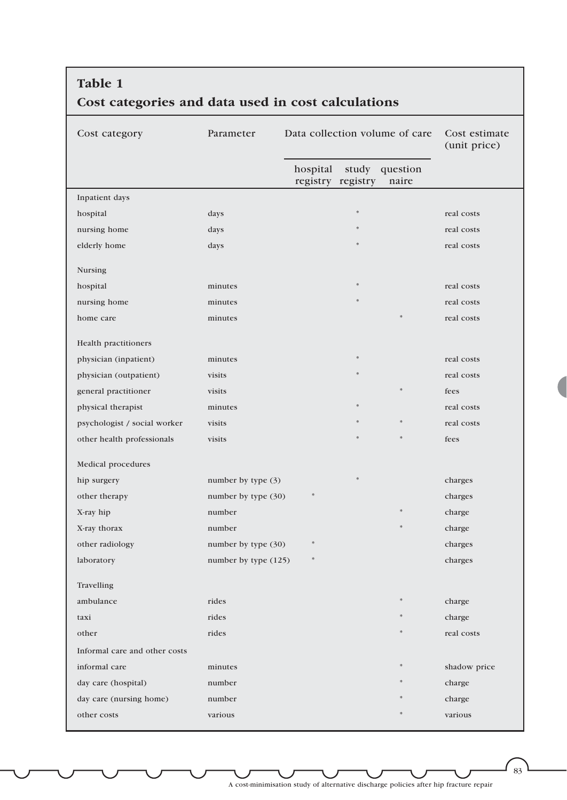# **Table 1**

# **Cost categories and data used in cost calculations**

| Cost category                 | Parameter            | Data collection volume of care                              | Cost estimate<br>(unit price) |
|-------------------------------|----------------------|-------------------------------------------------------------|-------------------------------|
|                               |                      | hospital<br>study<br>question<br>registry registry<br>naire |                               |
| Inpatient days                |                      |                                                             |                               |
| hospital                      | days                 |                                                             | real costs                    |
| nursing home                  | days                 |                                                             | real costs                    |
| elderly home                  | days                 |                                                             | real costs                    |
| Nursing                       |                      |                                                             |                               |
| hospital                      | minutes              |                                                             | real costs                    |
| nursing home                  | minutes              |                                                             | real costs                    |
| home care                     | minutes              |                                                             | real costs                    |
|                               |                      |                                                             |                               |
| Health practitioners          |                      |                                                             |                               |
| physician (inpatient)         | minutes              |                                                             | real costs                    |
| physician (outpatient)        | visits               |                                                             | real costs                    |
| general practitioner          | visits               |                                                             | fees                          |
| physical therapist            | minutes              |                                                             | real costs                    |
| psychologist / social worker  | visits               |                                                             | real costs                    |
| other health professionals    | visits               |                                                             | fees                          |
| Medical procedures            |                      |                                                             |                               |
| hip surgery                   | number by type (3)   |                                                             | charges                       |
| other therapy                 | number by type (30)  |                                                             | charges                       |
| X-ray hip                     | number               |                                                             | charge                        |
| X-ray thorax                  | number               |                                                             | charge                        |
| other radiology               | number by type (30)  |                                                             | charges                       |
| laboratory                    | number by type (125) |                                                             | charges                       |
|                               |                      |                                                             |                               |
| Travelling                    |                      |                                                             |                               |
| ambulance                     | rides                |                                                             | charge                        |
| taxi                          | rides                |                                                             | charge                        |
| other                         | rides                |                                                             | real costs                    |
| Informal care and other costs |                      |                                                             |                               |
| informal care                 | minutes              |                                                             | shadow price                  |
| day care (hospital)           | number               |                                                             | charge                        |
| day care (nursing home)       | number               |                                                             | charge                        |
| other costs                   | various              |                                                             | various                       |

 $^{\prime}$  83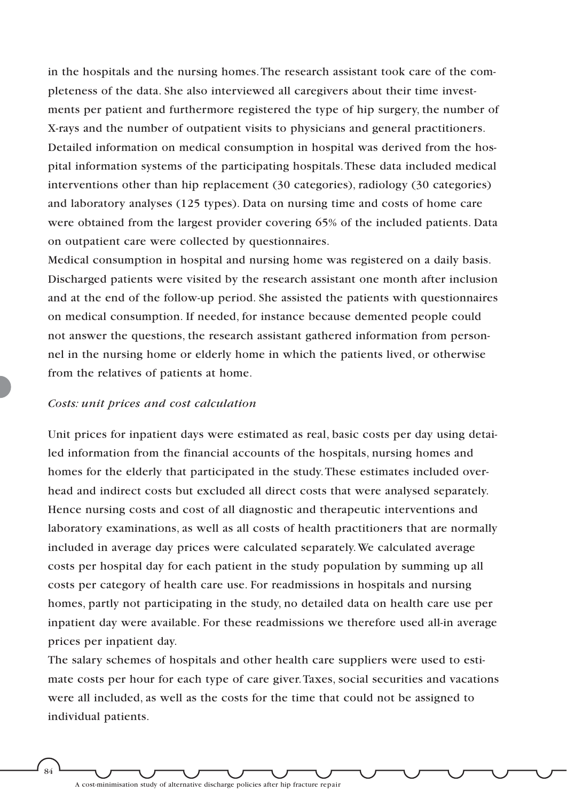in the hospitals and the nursing homes.The research assistant took care of the completeness of the data. She also interviewed all caregivers about their time investments per patient and furthermore registered the type of hip surgery, the number of X-rays and the number of outpatient visits to physicians and general practitioners. Detailed information on medical consumption in hospital was derived from the hospital information systems of the participating hospitals.These data included medical interventions other than hip replacement (30 categories), radiology (30 categories) and laboratory analyses (125 types). Data on nursing time and costs of home care were obtained from the largest provider covering 65% of the included patients. Data on outpatient care were collected by questionnaires.

Medical consumption in hospital and nursing home was registered on a daily basis. Discharged patients were visited by the research assistant one month after inclusion and at the end of the follow-up period. She assisted the patients with questionnaires on medical consumption. If needed, for instance because demented people could not answer the questions, the research assistant gathered information from personnel in the nursing home or elderly home in which the patients lived, or otherwise from the relatives of patients at home.

#### *Costs: unit prices and cost calculation*

Unit prices for inpatient days were estimated as real, basic costs per day using detailed information from the financial accounts of the hospitals, nursing homes and homes for the elderly that participated in the study.These estimates included overhead and indirect costs but excluded all direct costs that were analysed separately. Hence nursing costs and cost of all diagnostic and therapeutic interventions and laboratory examinations, as well as all costs of health practitioners that are normally included in average day prices were calculated separately.We calculated average costs per hospital day for each patient in the study population by summing up all costs per category of health care use. For readmissions in hospitals and nursing homes, partly not participating in the study, no detailed data on health care use per inpatient day were available. For these readmissions we therefore used all-in average prices per inpatient day.

The salary schemes of hospitals and other health care suppliers were used to estimate costs per hour for each type of care giver.Taxes, social securities and vacations were all included, as well as the costs for the time that could not be assigned to individual patients.

A cost-minimisation study of alternative discharge policies after hip fracture repair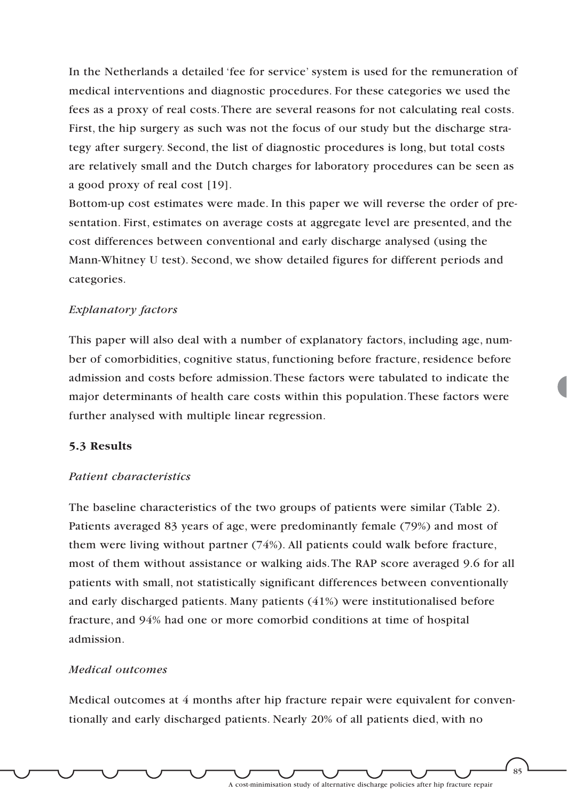In the Netherlands a detailed 'fee for service' system is used for the remuneration of medical interventions and diagnostic procedures. For these categories we used the fees as a proxy of real costs.There are several reasons for not calculating real costs. First, the hip surgery as such was not the focus of our study but the discharge strategy after surgery. Second, the list of diagnostic procedures is long, but total costs are relatively small and the Dutch charges for laboratory procedures can be seen as a good proxy of real cost [19].

Bottom-up cost estimates were made. In this paper we will reverse the order of presentation. First, estimates on average costs at aggregate level are presented, and the cost differences between conventional and early discharge analysed (using the Mann-Whitney U test). Second, we show detailed figures for different periods and categories.

### *Explanatory factors*

This paper will also deal with a number of explanatory factors, including age, number of comorbidities, cognitive status, functioning before fracture, residence before admission and costs before admission.These factors were tabulated to indicate the major determinants of health care costs within this population.These factors were further analysed with multiple linear regression.

#### **5.3 Results**

#### *Patient characteristics*

The baseline characteristics of the two groups of patients were similar (Table 2). Patients averaged 83 years of age, were predominantly female (79%) and most of them were living without partner (74%). All patients could walk before fracture, most of them without assistance or walking aids.The RAP score averaged 9.6 for all patients with small, not statistically significant differences between conventionally and early discharged patients. Many patients (41%) were institutionalised before fracture, and 94% had one or more comorbid conditions at time of hospital admission.

#### *Medical outcomes*

Medical outcomes at 4 months after hip fracture repair were equivalent for conventionally and early discharged patients. Nearly 20% of all patients died, with no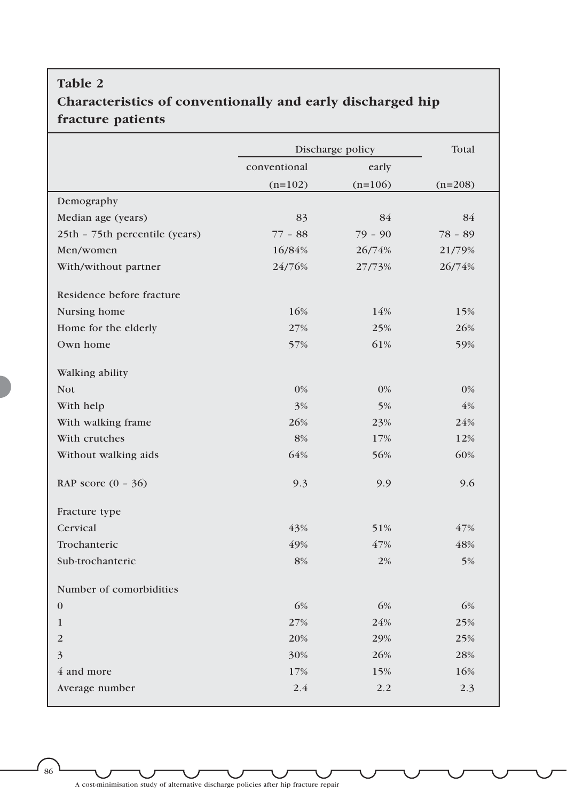# **Table 2 Characteristics of conventionally and early discharged hip fracture patients**

|                                |              | Discharge policy | Total     |
|--------------------------------|--------------|------------------|-----------|
|                                | conventional | early            |           |
|                                | $(n=102)$    | $(n=106)$        | $(n=208)$ |
| Demography                     |              |                  |           |
| Median age (years)             | 83           | 84               | 84        |
| 25th - 75th percentile (years) | $77 - 88$    | $79 - 90$        | $78 - 89$ |
| Men/women                      | 16/84%       | 26/74%           | 21/79%    |
| With/without partner           | 24/76%       | 27/73%           | 26/74%    |
|                                |              |                  |           |
| Residence before fracture      |              |                  |           |
| Nursing home                   | 16%          | 14%              | 15%       |
| Home for the elderly           | 27%          | 25%              | 26%       |
| Own home                       | 57%          | 61%              | 59%       |
| Walking ability                |              |                  |           |
| <b>Not</b>                     | $0\%$        | 0%               | $0\%$     |
| With help                      | 3%           | 5%               | 4%        |
| With walking frame             | 26%          | 23%              | 24%       |
| With crutches                  | 8%           | 17%              | 12%       |
| Without walking aids           | 64%          | 56%              | 60%       |
|                                |              |                  |           |
| RAP score $(0 - 36)$           | 9.3          | 9.9              | 9.6       |
| Fracture type                  |              |                  |           |
| Cervical                       | 43%          | 51%              | 47%       |
| Trochanteric                   | 49%          | 47%              | 48%       |
| Sub-trochanteric               | 8%           | 2%               | 5%        |
|                                |              |                  |           |
| Number of comorbidities        |              |                  |           |
| $\mathbf{0}$                   | 6%           | 6%               | 6%        |
| $\mathbf{1}$                   | 27%          | 24%              | 25%       |
| $\overline{2}$                 | 20%          | 29%              | 25%       |
| 3                              | 30%          | 26%              | 28%       |
| 4 and more                     | 17%          | 15%              | 16%       |
| Average number                 | 2.4          | 2.2              | 2.3       |
|                                |              |                  |           |

 $\frac{1}{86}$ 

A cost-minimisation study of alternative discharge policies after hip fracture repair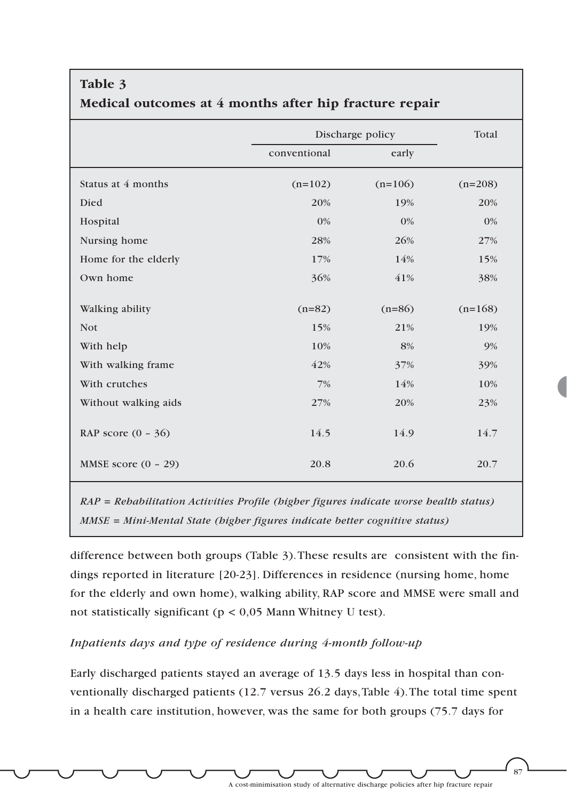## **Table 3**

| medical outcomes at 4 months and mp macture repair |              |                  |           |
|----------------------------------------------------|--------------|------------------|-----------|
|                                                    |              | Discharge policy | Total     |
|                                                    | conventional | early            |           |
| Status at 4 months                                 | $(n=102)$    | $(n=106)$        | $(n=208)$ |
| Died                                               | 20%          | 19%              | 20%       |
| Hospital                                           | 0%           | 0%               | 0%        |
| Nursing home                                       | 28%          | 26%              | 27%       |
| Home for the elderly                               | 17%          | 14%              | 15%       |
| Own home                                           | 36%          | 41%              | 38%       |
| Walking ability                                    | $(n=82)$     | $(n=86)$         | $(n=168)$ |
| <b>Not</b>                                         | 15%          | 21%              | 19%       |
| With help                                          | 10%          | 8%               | 9%        |
| With walking frame                                 | 42%          | 37%              | 39%       |
| With crutches                                      | 7%           | 14%              | 10%       |
| Without walking aids                               | 27%          | 20%              | 23%       |
| RAP score $(0 - 36)$                               | 14.5         | 14.9             | 14.7      |
| MMSE score $(0 - 29)$                              | 20.8         | 20.6             | 20.7      |

## **Medical outcomes at 4 months after hip fracture repair**

*RAP = Rehabilitation Activities Profile (higher figures indicate worse health status) MMSE = Mini-Mental State (higher figures indicate better cognitive status)*

difference between both groups (Table 3).These results are consistent with the findings reported in literature [20-23]. Differences in residence (nursing home, home for the elderly and own home), walking ability, RAP score and MMSE were small and not statistically significant ( $p < 0.05$  Mann Whitney U test).

### *Inpatients days and type of residence during 4-month follow-up*

Early discharged patients stayed an average of 13.5 days less in hospital than conventionally discharged patients (12.7 versus 26.2 days,Table 4).The total time spent in a health care institution, however, was the same for both groups (75.7 days for

A cost-minimisation study of alternative discharge policies after hip fracture repair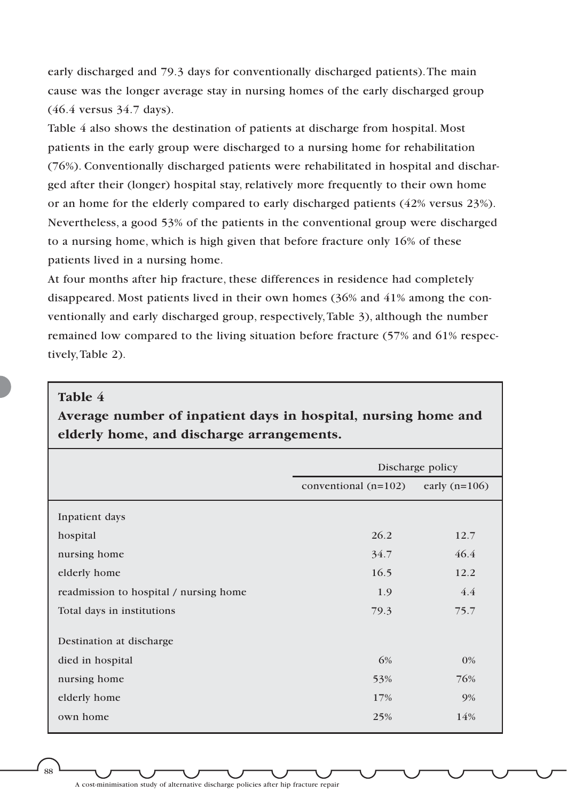early discharged and 79.3 days for conventionally discharged patients).The main cause was the longer average stay in nursing homes of the early discharged group (46.4 versus 34.7 days).

Table 4 also shows the destination of patients at discharge from hospital. Most patients in the early group were discharged to a nursing home for rehabilitation (76%). Conventionally discharged patients were rehabilitated in hospital and discharged after their (longer) hospital stay, relatively more frequently to their own home or an home for the elderly compared to early discharged patients (42% versus 23%). Nevertheless, a good 53% of the patients in the conventional group were discharged to a nursing home, which is high given that before fracture only 16% of these patients lived in a nursing home.

At four months after hip fracture, these differences in residence had completely disappeared. Most patients lived in their own homes (36% and 41% among the conventionally and early discharged group, respectively,Table 3), although the number remained low compared to the living situation before fracture (57% and 61% respectively,Table 2).

## **Table 4**

**Average number of inpatient days in hospital, nursing home and elderly home, and discharge arrangements.**

|                                        |                        | Discharge policy |
|----------------------------------------|------------------------|------------------|
|                                        | conventional $(n=102)$ | early $(n=106)$  |
| Inpatient days                         |                        |                  |
| hospital                               | 26.2                   | 12.7             |
| nursing home                           | 34.7                   | 46.4             |
| elderly home                           | 16.5                   | 12.2             |
| readmission to hospital / nursing home | 1.9                    | 4.4              |
| Total days in institutions             | 79.3                   | 75.7             |
| Destination at discharge               |                        |                  |
| died in hospital                       | 6%                     | $0\%$            |
| nursing home                           | 53%                    | 76%              |
| elderly home                           | 17%                    | 9%               |
| own home                               | 25%                    | 14%              |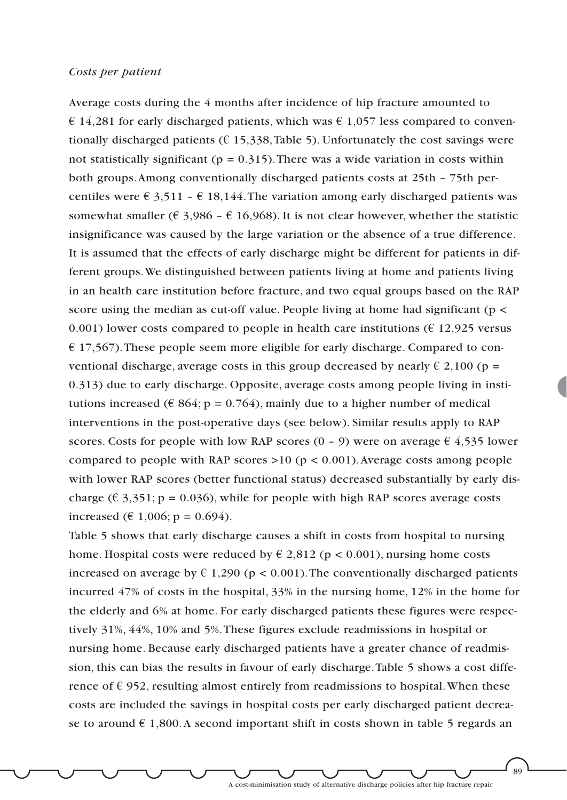#### *Costs per patient*

Average costs during the 4 months after incidence of hip fracture amounted to  $\epsilon$  14,281 for early discharged patients, which was  $\epsilon$  1,057 less compared to conventionally discharged patients ( $\epsilon$  15,338, Table 5). Unfortunately the cost savings were not statistically significant ( $p = 0.315$ ). There was a wide variation in costs within both groups.Among conventionally discharged patients costs at 25th – 75th percentiles were  $\epsilon$  3,511 –  $\epsilon$  18,144. The variation among early discharged patients was somewhat smaller ( $\epsilon$  3,986 –  $\epsilon$  16,968). It is not clear however, whether the statistic insignificance was caused by the large variation or the absence of a true difference. It is assumed that the effects of early discharge might be different for patients in different groups.We distinguished between patients living at home and patients living in an health care institution before fracture, and two equal groups based on the RAP score using the median as cut-off value. People living at home had significant (p < 0.001) lower costs compared to people in health care institutions ( $\epsilon$  12,925 versus  $\epsilon$  17,567). These people seem more eligible for early discharge. Compared to conventional discharge, average costs in this group decreased by nearly  $\epsilon$  2,100 (p = 0.313) due to early discharge. Opposite, average costs among people living in institutions increased ( $\epsilon$  864; p = 0.764), mainly due to a higher number of medical interventions in the post-operative days (see below). Similar results apply to RAP scores. Costs for people with low RAP scores  $(0 - 9)$  were on average  $\epsilon$  4,535 lower compared to people with RAP scores  $>10$  (p < 0.001). Average costs among people with lower RAP scores (better functional status) decreased substantially by early discharge ( $\epsilon$  3,351; p = 0.036), while for people with high RAP scores average costs increased ( $\in$  1,006; p = 0.694).

Table 5 shows that early discharge causes a shift in costs from hospital to nursing home. Hospital costs were reduced by  $\epsilon$  2,812 (p < 0.001), nursing home costs increased on average by  $\epsilon$  1,290 (p < 0.001). The conventionally discharged patients incurred 47% of costs in the hospital, 33% in the nursing home, 12% in the home for the elderly and 6% at home. For early discharged patients these figures were respectively 31%, 44%, 10% and 5%.These figures exclude readmissions in hospital or nursing home. Because early discharged patients have a greater chance of readmission, this can bias the results in favour of early discharge.Table 5 shows a cost difference of  $\epsilon$  952, resulting almost entirely from readmissions to hospital. When these costs are included the savings in hospital costs per early discharged patient decrease to around  $\epsilon$  1,800. A second important shift in costs shown in table 5 regards an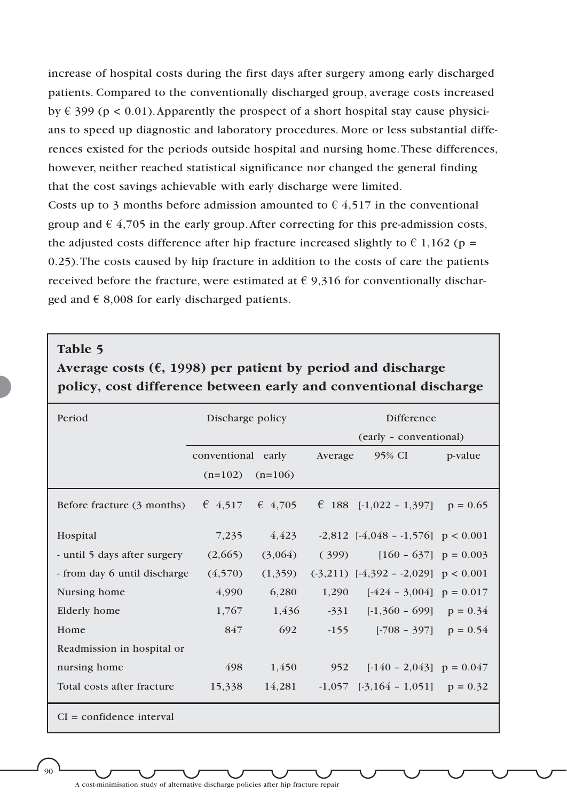increase of hospital costs during the first days after surgery among early discharged patients. Compared to the conventionally discharged group, average costs increased by  $\epsilon$  399 (p < 0.01). Apparently the prospect of a short hospital stay cause physicians to speed up diagnostic and laboratory procedures. More or less substantial differences existed for the periods outside hospital and nursing home.These differences, however, neither reached statistical significance nor changed the general finding that the cost savings achievable with early discharge were limited. Costs up to 3 months before admission amounted to  $\epsilon$  4,517 in the conventional group and  $\epsilon$  4,705 in the early group. After correcting for this pre-admission costs, the adjusted costs difference after hip fracture increased slightly to  $\epsilon$  1,162 (p = 0.25).The costs caused by hip fracture in addition to the costs of care the patients received before the fracture, were estimated at  $\epsilon$  9,316 for conventionally discharged and  $\epsilon$  8,008 for early discharged patients.

#### **Table 5**

| Average costs $(\epsilon, 1998)$ per patient by period and discharge<br>policy, cost difference between early and conventional discharge |                                   |           |        |                                            |         |
|------------------------------------------------------------------------------------------------------------------------------------------|-----------------------------------|-----------|--------|--------------------------------------------|---------|
| Period                                                                                                                                   | Discharge policy                  |           |        | Difference                                 |         |
|                                                                                                                                          |                                   |           |        | (early - conventional)                     |         |
|                                                                                                                                          | conventional early                |           |        | Average 95% CI                             | p-value |
|                                                                                                                                          | $(n=102)$                         | $(n=106)$ |        |                                            |         |
| Before fracture (3 months)                                                                                                               | $\epsilon$ 4.517 $\epsilon$ 4.705 |           |        | $\leq 188$ [-1,022 - 1,397] p = 0.65       |         |
| Hospital                                                                                                                                 | 7,235                             | 4,423     |        | $-2,812$ [ $-4,048$ - $-1,576$ ] p < 0.001 |         |
| - until 5 days after surgery                                                                                                             | (2,665)                           | (3,064)   |        | $(399)$ [160 - 637] p = 0.003              |         |
| - from day 6 until discharge                                                                                                             | (4,570)                           | (1,359)   |        | $(-3,211)$ $[-4,392 - 2,029]$ $p < 0.001$  |         |
| Nursing home                                                                                                                             | 4,990                             | 6,280     | 1,290  | $[-424 - 3,004]$ p = 0.017                 |         |
| Elderly home                                                                                                                             | 1,767                             | 1,436     | $-331$ | $[-1,360 - 699]$ $p = 0.34$                |         |
| Home                                                                                                                                     | 847                               | 692       | $-155$ | $[-708 - 397]$ $p = 0.54$                  |         |
| Readmission in hospital or                                                                                                               |                                   |           |        |                                            |         |
| nursing home                                                                                                                             | 498                               | 1,450     | 952    | $[-140 - 2,043]$ p = 0.047                 |         |
| Total costs after fracture                                                                                                               | 15,338                            | 14,281    |        | $-1,057$ $[-3,164 - 1,051]$ $p = 0.32$     |         |
|                                                                                                                                          |                                   |           |        |                                            |         |

CI = confidence interval

 $90^{\circ}$ 

A cost-minimisation study of alternative discharge policies after hip fracture repair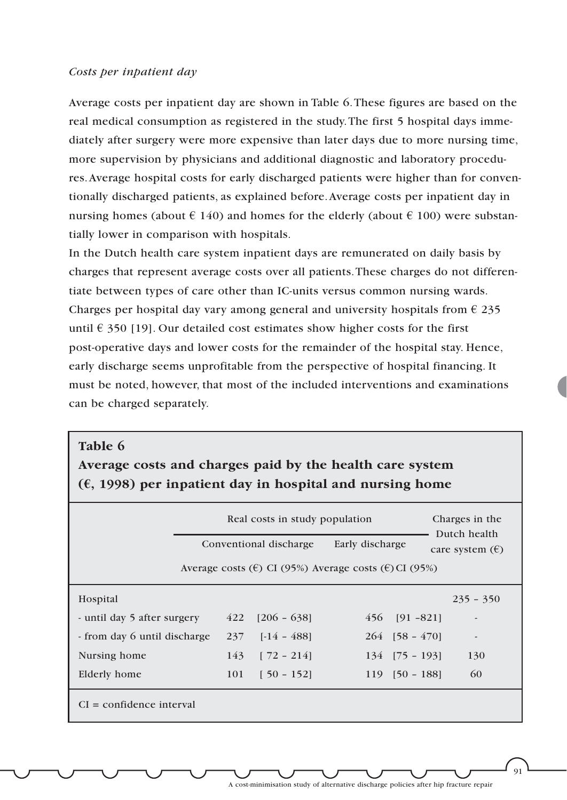#### *Costs per inpatient day*

Average costs per inpatient day are shown in Table 6.These figures are based on the real medical consumption as registered in the study.The first 5 hospital days immediately after surgery were more expensive than later days due to more nursing time, more supervision by physicians and additional diagnostic and laboratory procedures.Average hospital costs for early discharged patients were higher than for conventionally discharged patients, as explained before.Average costs per inpatient day in nursing homes (about  $\epsilon$  140) and homes for the elderly (about  $\epsilon$  100) were substantially lower in comparison with hospitals.

In the Dutch health care system inpatient days are remunerated on daily basis by charges that represent average costs over all patients.These charges do not differentiate between types of care other than IC-units versus common nursing wards. Charges per hospital day vary among general and university hospitals from  $\epsilon$  235 until  $\epsilon$  350 [19]. Our detailed cost estimates show higher costs for the first post-operative days and lower costs for the remainder of the hospital stay. Hence, early discharge seems unprofitable from the perspective of hospital financing. It must be noted, however, that most of the included interventions and examinations can be charged separately.

#### **Table 6**

# **Average costs and charges paid by the health care system (€, 1998) per inpatient day in hospital and nursing home**

|                                                                             |     | Real costs in study population |                 |                  | Charges in the<br>Dutch health |  |  |
|-----------------------------------------------------------------------------|-----|--------------------------------|-----------------|------------------|--------------------------------|--|--|
|                                                                             |     | Conventional discharge         | Early discharge |                  | care system $(\epsilon)$       |  |  |
| Average costs ( $\epsilon$ ) CI (95%) Average costs ( $\epsilon$ ) CI (95%) |     |                                |                 |                  |                                |  |  |
| Hospital                                                                    |     |                                |                 |                  | $235 - 350$                    |  |  |
| - until day 5 after surgery                                                 |     | $422$ $[206 - 638]$            | 456             | $[91 - 821]$     |                                |  |  |
| - from day 6 until discharge                                                | 237 | $[-14 - 488]$                  |                 | $264$ [58 - 470] |                                |  |  |
| Nursing home                                                                | 143 | $[72 - 214]$                   |                 | $134$ [75 - 193] | 130                            |  |  |
| Elderly home                                                                | 101 | $[50 - 152]$                   |                 | $119$ [50 - 188] | 60                             |  |  |
| $CI = confidence$ interval                                                  |     |                                |                 |                  |                                |  |  |

A cost-minimisation study of alternative discharge policies after hip fracture repair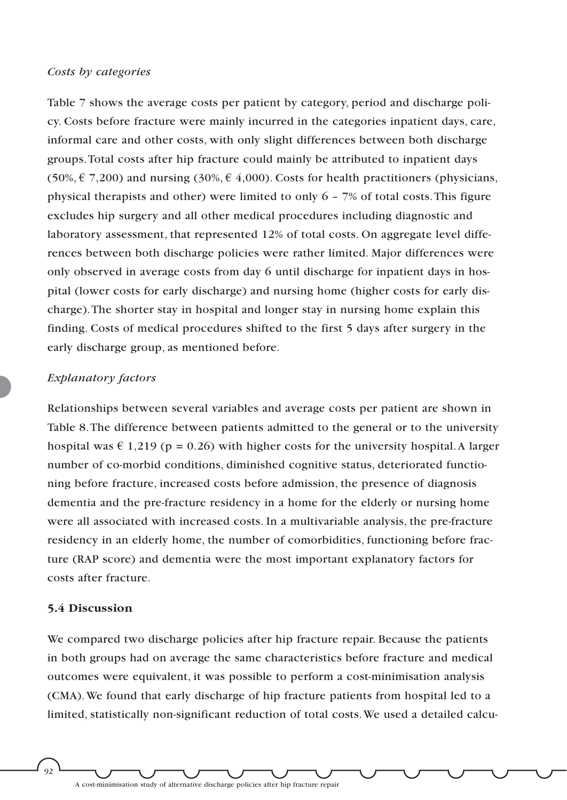#### *Costs by categories*

Table 7 shows the average costs per patient by category, period and discharge policy. Costs before fracture were mainly incurred in the categories inpatient days, care, informal care and other costs, with only slight differences between both discharge groups.Total costs after hip fracture could mainly be attributed to inpatient days (50%,  $\epsilon$  7,200) and nursing (30%,  $\epsilon$  4,000). Costs for health practitioners (physicians, physical therapists and other) were limited to only 6 – 7% of total costs.This figure excludes hip surgery and all other medical procedures including diagnostic and laboratory assessment, that represented 12% of total costs. On aggregate level differences between both discharge policies were rather limited. Major differences were only observed in average costs from day 6 until discharge for inpatient days in hospital (lower costs for early discharge) and nursing home (higher costs for early discharge).The shorter stay in hospital and longer stay in nursing home explain this finding. Costs of medical procedures shifted to the first 5 days after surgery in the early discharge group, as mentioned before.

### *Explanatory factors*

Relationships between several variables and average costs per patient are shown in Table 8.The difference between patients admitted to the general or to the university hospital was  $\epsilon$  1,219 (p = 0.26) with higher costs for the university hospital. A larger number of co-morbid conditions, diminished cognitive status, deteriorated functioning before fracture, increased costs before admission, the presence of diagnosis dementia and the pre-fracture residency in a home for the elderly or nursing home were all associated with increased costs. In a multivariable analysis, the pre-fracture residency in an elderly home, the number of comorbidities, functioning before fracture (RAP score) and dementia were the most important explanatory factors for costs after fracture.

#### **5.4 Discussion**

We compared two discharge policies after hip fracture repair. Because the patients in both groups had on average the same characteristics before fracture and medical outcomes were equivalent, it was possible to perform a cost-minimisation analysis (CMA).We found that early discharge of hip fracture patients from hospital led to a limited, statistically non-significant reduction of total costs.We used a detailed calcu-

 $_{92}$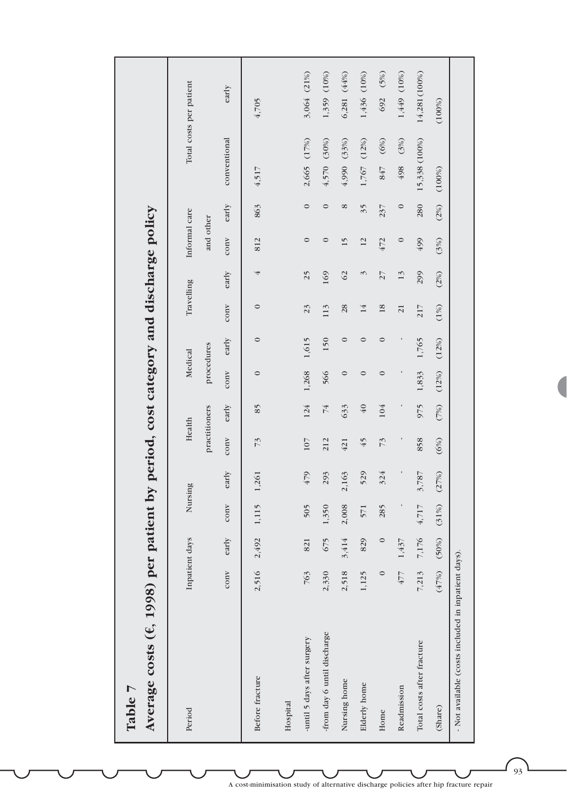| Average costs ( $\epsilon$ , 1998)<br>Table 7       |         |                |          | per patient by period, cost category and discharge policy |               |       |            |         |            |       |               |                  |                  |                         |
|-----------------------------------------------------|---------|----------------|----------|-----------------------------------------------------------|---------------|-------|------------|---------|------------|-------|---------------|------------------|------------------|-------------------------|
| Period                                              |         | Inpatient days | Nursing  |                                                           | Health        |       | Medical    |         | Travelling |       | Informal care |                  |                  | Total costs per patient |
|                                                     |         |                |          |                                                           | practitioners |       | procedures |         |            |       | and other     |                  |                  |                         |
|                                                     | conv    | early          | conv     | early                                                     | conv          | early | conv       | early   | conv       | early | conv          | early            | conventional     | early                   |
| Before fracture                                     | 2,516   | 2,492          | 1,115    | 1,261                                                     | 73            | 85    | $\circ$    | $\circ$ | $\circ$    | 4     | 812           | 863              | 4,517            | 4,705                   |
| Hospital                                            |         |                |          |                                                           |               |       |            |         |            |       |               |                  |                  |                         |
| -until 5 days after surgery                         | 763     | 821            | 505      | 479                                                       | 107           | 124   | 1,268      | 1,615   | 23         | 25    | $\circ$       | $\circ$          | 2,665 (17%)      | 3,064 (21%)             |
| -from day 6 until discharge                         | 2,330   | 675            | 1,350    | 293                                                       | 212           | 74    | 566        | 150     | 113        | 169   | $\circ$       | $\circ$          | $4,570$ $(30\%)$ | 1,359 (10%)             |
| Nursing home                                        | 2,518   | 3,414          | 2,008    | 2,163                                                     | 421           | 633   | $\circ$    | $\circ$ | 28         | 62    | 15            | ∞                | 4,990 (33%)      | $6,281$ $(44\%)$        |
| Elderly home                                        | 1,125   | 829            | 571      | 529                                                       | 45            | 40    | $\circ$    | $\circ$ | 14         | 3     | 12            | $\tilde{\delta}$ | (12%)<br>1,767   | 1,436 (10%)             |
| Home                                                | $\circ$ | $\circ$        | 285      | 324                                                       | 73            | 104   | $\circ$    | $\circ$ | 18         | 27    | 472           | 237              | (6%)<br>847      | (5%)<br>692             |
| Readmission                                         | 477     | 1,437          |          |                                                           |               |       |            |         | 21         | 13    | $\circ$       | $\circ$          | (3%)<br>498      | 1,449 (10%)             |
| Total costs after fracture                          | 7,213   | 7,176          | 4,717    | 3,787                                                     | 858           | 975   | 1,833      | 1,765   | 217        | 299   | 499           | 280              | 15,338 (100%)    | 14,281(100%)            |
| (Share)                                             | (47%)   | (50%)          | $(31\%)$ | (27%)                                                     | (6%)          | (7%)  | (12%)      | (12%)   | $(1\%)$    | (2%)  | (3%)          | (2%)             | (100%)           | (100%)                  |
| - Not available (costs included in inpatient days). |         |                |          |                                                           |               |       |            |         |            |       |               |                  |                  |                         |

A cost-minimisation study of alternative discharge policies after hip fracture repair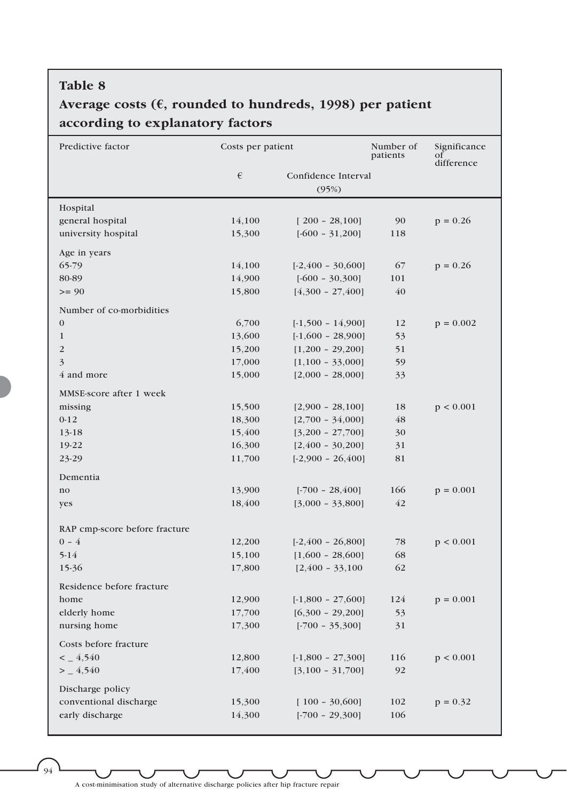# **Table 8**

# **Average costs (€, rounded to hundreds, 1998) per patient according to explanatory factors**

| Predictive factor             | Costs per patient |                              | Number of<br>patients | Significance<br>of<br>difference |
|-------------------------------|-------------------|------------------------------|-----------------------|----------------------------------|
|                               | €                 | Confidence Interval<br>(95%) |                       |                                  |
| Hospital                      |                   |                              |                       |                                  |
| general hospital              | 14,100            | $[200 - 28, 100]$            | 90                    | $p = 0.26$                       |
| university hospital           | 15,300            | $[-600 - 31,200]$            | 118                   |                                  |
| Age in years                  |                   |                              |                       |                                  |
| 65-79                         | 14,100            | $[-2, 400 - 30, 600]$        | 67                    | $p = 0.26$                       |
| 80-89                         | 14,900            | $[-600 - 30,300]$            | 101                   |                                  |
| $>= 90$                       | 15,800            | $[4,300 - 27,400]$           | 40                    |                                  |
| Number of co-morbidities      |                   |                              |                       |                                  |
| $\overline{0}$                | 6,700             | $[-1,500 - 14,900]$          | 12                    | $p = 0.002$                      |
| $\mathbf{1}$                  | 13,600            | $[-1,600 - 28,900]$          | 53                    |                                  |
| $\overline{2}$                | 15,200            | $[1,200 - 29,200]$           | 51                    |                                  |
| 3                             | 17,000            | $[1,100 - 33,000]$           | 59                    |                                  |
| 4 and more                    | 15,000            | $[2,000 - 28,000]$           | 33                    |                                  |
| MMSE-score after 1 week       |                   |                              |                       |                                  |
| missing                       | 15,500            | $[2,900 - 28,100]$           | 18                    | p < 0.001                        |
| $0 - 12$                      | 18,300            | $[2,700 - 34,000]$           | 48                    |                                  |
| 13-18                         | 15,400            | $[3,200 - 27,700]$           | 30                    |                                  |
| 19-22                         | 16,300            | $[2,400 - 30,200]$           | 31                    |                                  |
| 23-29                         | 11,700            | $[-2,900 - 26,400]$          | 81                    |                                  |
| Dementia                      |                   |                              |                       |                                  |
| no                            | 13,900            | $[-700 - 28,400]$            | 166                   | $p = 0.001$                      |
| yes                           | 18,400            | $[3,000 - 33,800]$           | 42                    |                                  |
|                               |                   |                              |                       |                                  |
| RAP cmp-score before fracture |                   |                              |                       |                                  |
| $0 - 4$                       | 12,200            | $[-2, 400 - 26, 800]$        | 78                    | p < 0.001                        |
| $5-14$                        | 15,100            | $[1,600 - 28,600]$           | 68                    |                                  |
| 15-36                         | 17,800            | $[2,400 - 33,100]$           | 62                    |                                  |
| Residence before fracture     |                   |                              |                       |                                  |
| home                          | 12,900            | $[-1,800 - 27,600]$          | 124                   | $p = 0.001$                      |
| elderly home                  | 17,700            | $[6,300 - 29,200]$           | 53                    |                                  |
| nursing home                  | 17,300            | $[-700 - 35,300]$            | 31                    |                                  |
| Costs before fracture         |                   |                              |                       |                                  |
| $\leq$ $-4,540$               | 12,800            | $[-1,800 - 27,300]$          | 116                   | p < 0.001                        |
| $>$ $-$ 4.540                 | 17,400            | $[3,100 - 31,700]$           | 92                    |                                  |
|                               |                   |                              |                       |                                  |
| Discharge policy              |                   |                              |                       |                                  |
| conventional discharge        | 15,300            | $[100 - 30,600]$             | 102                   | $p = 0.32$                       |
| early discharge               | 14,300            | $[-700 - 29,300]$            | 106                   |                                  |

 $\mathcal{C}_{94}$ 

A cost-minimisation study of alternative discharge policies after hip fracture repair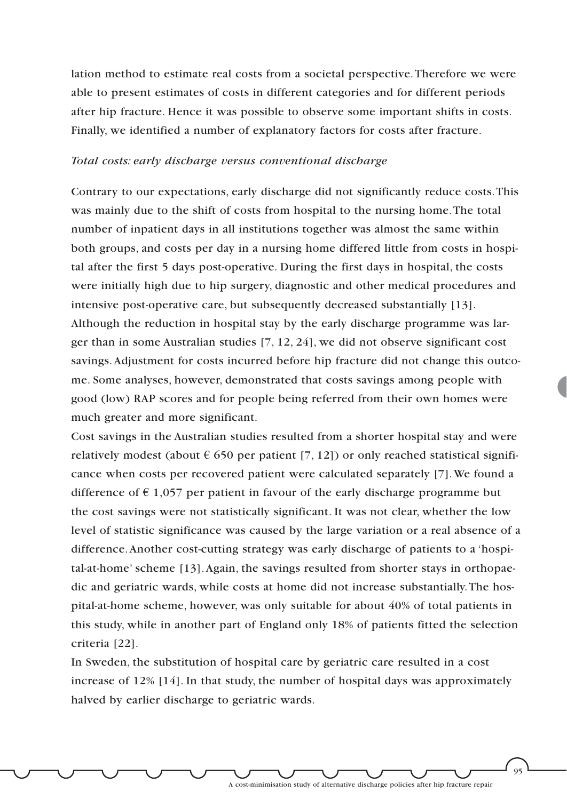lation method to estimate real costs from a societal perspective.Therefore we were able to present estimates of costs in different categories and for different periods after hip fracture. Hence it was possible to observe some important shifts in costs. Finally, we identified a number of explanatory factors for costs after fracture.

#### *Total costs: early discharge versus conventional discharge*

Contrary to our expectations, early discharge did not significantly reduce costs.This was mainly due to the shift of costs from hospital to the nursing home.The total number of inpatient days in all institutions together was almost the same within both groups, and costs per day in a nursing home differed little from costs in hospital after the first 5 days post-operative. During the first days in hospital, the costs were initially high due to hip surgery, diagnostic and other medical procedures and intensive post-operative care, but subsequently decreased substantially [13]. Although the reduction in hospital stay by the early discharge programme was larger than in some Australian studies [7, 12, 24], we did not observe significant cost savings.Adjustment for costs incurred before hip fracture did not change this outcome. Some analyses, however, demonstrated that costs savings among people with good (low) RAP scores and for people being referred from their own homes were much greater and more significant.

Cost savings in the Australian studies resulted from a shorter hospital stay and were relatively modest (about  $\epsilon$  650 per patient [7, 12]) or only reached statistical significance when costs per recovered patient were calculated separately [7].We found a difference of  $\epsilon$  1,057 per patient in favour of the early discharge programme but the cost savings were not statistically significant. It was not clear, whether the low level of statistic significance was caused by the large variation or a real absence of a difference.Another cost-cutting strategy was early discharge of patients to a 'hospital-at-home' scheme [13].Again, the savings resulted from shorter stays in orthopaedic and geriatric wards, while costs at home did not increase substantially.The hospital-at-home scheme, however, was only suitable for about 40% of total patients in this study, while in another part of England only 18% of patients fitted the selection criteria [22].

In Sweden, the substitution of hospital care by geriatric care resulted in a cost increase of 12% [14]. In that study, the number of hospital days was approximately halved by earlier discharge to geriatric wards.

A cost-minimisation study of alternative discharge policies after hip fracture repair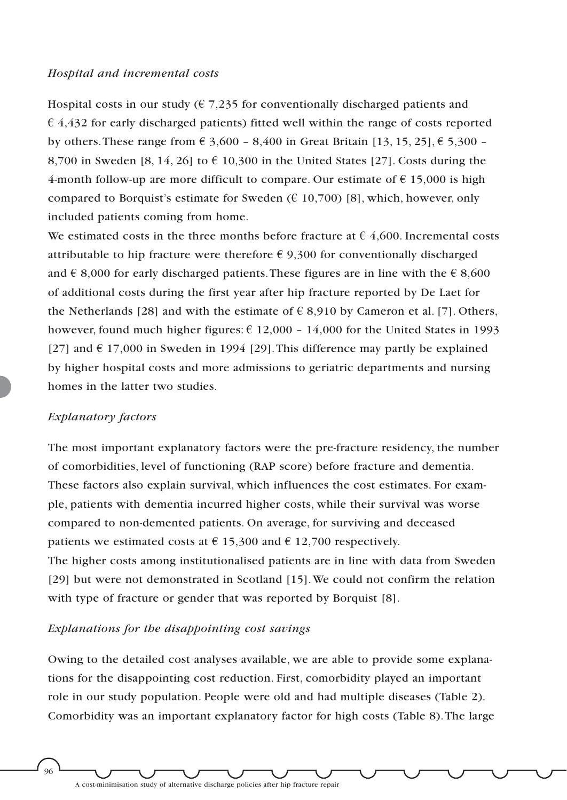### *Hospital and incremental costs*

Hospital costs in our study ( $\epsilon$  7,235 for conventionally discharged patients and  $\epsilon$  4,432 for early discharged patients) fitted well within the range of costs reported by others. These range from  $\epsilon$  3,600 – 8,400 in Great Britain [13, 15, 25],  $\epsilon$  5,300 – 8,700 in Sweden [8, 14, 26] to  $\epsilon$  10,300 in the United States [27]. Costs during the 4-month follow-up are more difficult to compare. Our estimate of  $\epsilon$  15,000 is high compared to Borquist's estimate for Sweden ( $\epsilon$  10,700) [8], which, however, only included patients coming from home.

We estimated costs in the three months before fracture at  $\epsilon$  4,600. Incremental costs attributable to hip fracture were therefore  $\epsilon$  9,300 for conventionally discharged and  $\in$  8,000 for early discharged patients. These figures are in line with the  $\in$  8,600 of additional costs during the first year after hip fracture reported by De Laet for the Netherlands [28] and with the estimate of  $\epsilon$  8,910 by Cameron et al. [7]. Others, however, found much higher figures:  $\epsilon$  12,000 – 14,000 for the United States in 1993 [27] and  $\epsilon$  17,000 in Sweden in 1994 [29]. This difference may partly be explained by higher hospital costs and more admissions to geriatric departments and nursing homes in the latter two studies.

#### *Explanatory factors*

The most important explanatory factors were the pre-fracture residency, the number of comorbidities, level of functioning (RAP score) before fracture and dementia. These factors also explain survival, which influences the cost estimates. For example, patients with dementia incurred higher costs, while their survival was worse compared to non-demented patients. On average, for surviving and deceased patients we estimated costs at  $\epsilon$  15,300 and  $\epsilon$  12,700 respectively. The higher costs among institutionalised patients are in line with data from Sweden [29] but were not demonstrated in Scotland [15].We could not confirm the relation with type of fracture or gender that was reported by Borquist [8].

#### *Explanations for the disappointing cost savings*

Owing to the detailed cost analyses available, we are able to provide some explanations for the disappointing cost reduction. First, comorbidity played an important role in our study population. People were old and had multiple diseases (Table 2). Comorbidity was an important explanatory factor for high costs (Table 8).The large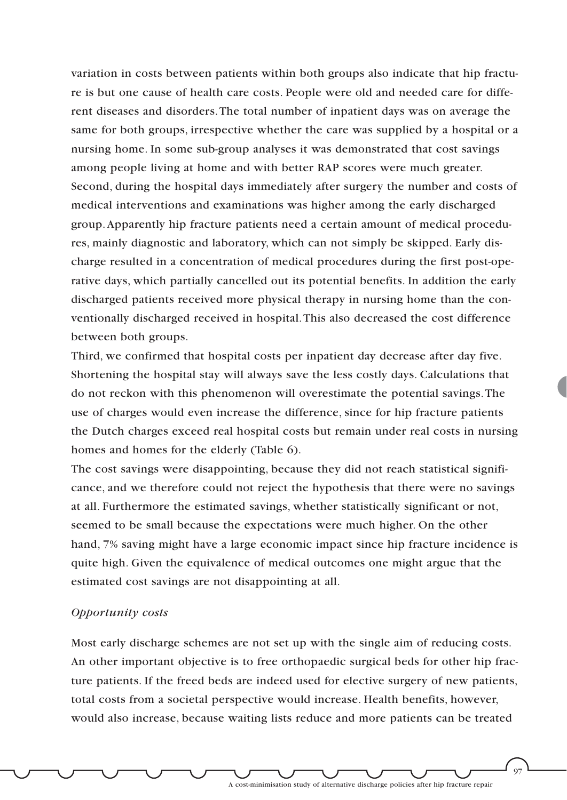variation in costs between patients within both groups also indicate that hip fracture is but one cause of health care costs. People were old and needed care for different diseases and disorders.The total number of inpatient days was on average the same for both groups, irrespective whether the care was supplied by a hospital or a nursing home. In some sub-group analyses it was demonstrated that cost savings among people living at home and with better RAP scores were much greater. Second, during the hospital days immediately after surgery the number and costs of medical interventions and examinations was higher among the early discharged group.Apparently hip fracture patients need a certain amount of medical procedures, mainly diagnostic and laboratory, which can not simply be skipped. Early discharge resulted in a concentration of medical procedures during the first post-operative days, which partially cancelled out its potential benefits. In addition the early discharged patients received more physical therapy in nursing home than the conventionally discharged received in hospital.This also decreased the cost difference between both groups.

Third, we confirmed that hospital costs per inpatient day decrease after day five. Shortening the hospital stay will always save the less costly days. Calculations that do not reckon with this phenomenon will overestimate the potential savings.The use of charges would even increase the difference, since for hip fracture patients the Dutch charges exceed real hospital costs but remain under real costs in nursing homes and homes for the elderly (Table 6).

The cost savings were disappointing, because they did not reach statistical significance, and we therefore could not reject the hypothesis that there were no savings at all. Furthermore the estimated savings, whether statistically significant or not, seemed to be small because the expectations were much higher. On the other hand, 7% saving might have a large economic impact since hip fracture incidence is quite high. Given the equivalence of medical outcomes one might argue that the estimated cost savings are not disappointing at all.

### *Opportunity costs*

Most early discharge schemes are not set up with the single aim of reducing costs. An other important objective is to free orthopaedic surgical beds for other hip fracture patients. If the freed beds are indeed used for elective surgery of new patients, total costs from a societal perspective would increase. Health benefits, however, would also increase, because waiting lists reduce and more patients can be treated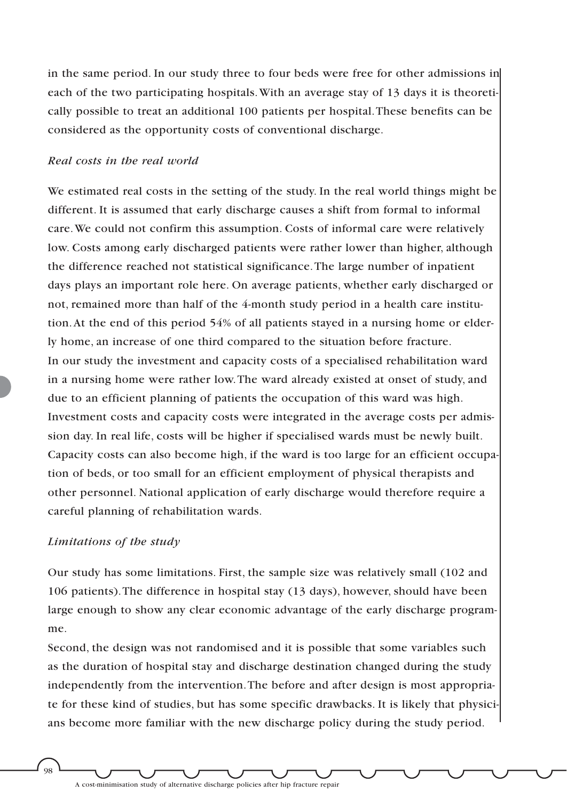in the same period. In our study three to four beds were free for other admissions in each of the two participating hospitals.With an average stay of 13 days it is theoretically possible to treat an additional 100 patients per hospital.These benefits can be considered as the opportunity costs of conventional discharge.

### *Real costs in the real world*

We estimated real costs in the setting of the study. In the real world things might be different. It is assumed that early discharge causes a shift from formal to informal care.We could not confirm this assumption. Costs of informal care were relatively low. Costs among early discharged patients were rather lower than higher, although the difference reached not statistical significance.The large number of inpatient days plays an important role here. On average patients, whether early discharged or not, remained more than half of the 4-month study period in a health care institution.At the end of this period 54% of all patients stayed in a nursing home or elderly home, an increase of one third compared to the situation before fracture. In our study the investment and capacity costs of a specialised rehabilitation ward in a nursing home were rather low.The ward already existed at onset of study, and due to an efficient planning of patients the occupation of this ward was high. Investment costs and capacity costs were integrated in the average costs per admission day. In real life, costs will be higher if specialised wards must be newly built. Capacity costs can also become high, if the ward is too large for an efficient occupation of beds, or too small for an efficient employment of physical therapists and other personnel. National application of early discharge would therefore require a careful planning of rehabilitation wards.

#### *Limitations of the study*

Our study has some limitations. First, the sample size was relatively small (102 and 106 patients).The difference in hospital stay (13 days), however, should have been large enough to show any clear economic advantage of the early discharge programme.

Second, the design was not randomised and it is possible that some variables such as the duration of hospital stay and discharge destination changed during the study independently from the intervention.The before and after design is most appropriate for these kind of studies, but has some specific drawbacks. It is likely that physicians become more familiar with the new discharge policy during the study period.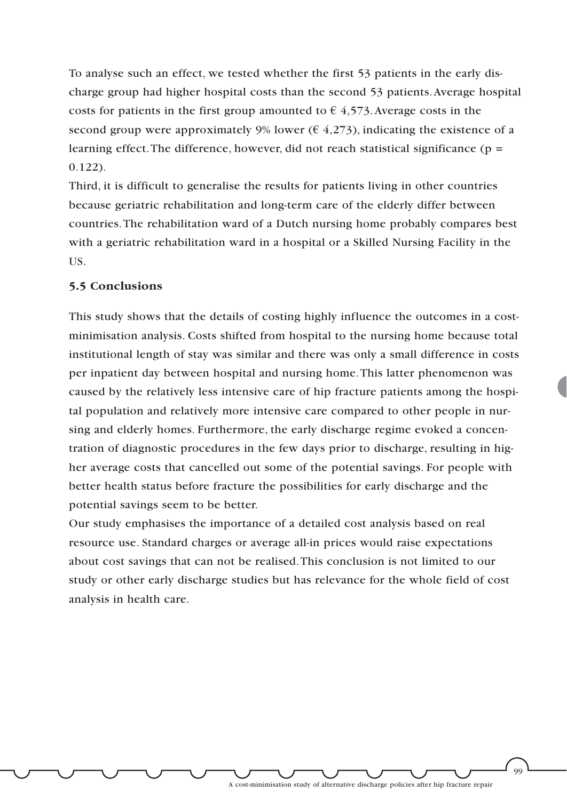To analyse such an effect, we tested whether the first 53 patients in the early discharge group had higher hospital costs than the second 53 patients.Average hospital costs for patients in the first group amounted to  $\epsilon$  4,573. Average costs in the second group were approximately 9% lower ( $\epsilon$  4,273), indicating the existence of a learning effect. The difference, however, did not reach statistical significance ( $p =$ 0.122).

Third, it is difficult to generalise the results for patients living in other countries because geriatric rehabilitation and long-term care of the elderly differ between countries.The rehabilitation ward of a Dutch nursing home probably compares best with a geriatric rehabilitation ward in a hospital or a Skilled Nursing Facility in the US.

## **5.5 Conclusions**

This study shows that the details of costing highly influence the outcomes in a costminimisation analysis. Costs shifted from hospital to the nursing home because total institutional length of stay was similar and there was only a small difference in costs per inpatient day between hospital and nursing home.This latter phenomenon was caused by the relatively less intensive care of hip fracture patients among the hospital population and relatively more intensive care compared to other people in nursing and elderly homes. Furthermore, the early discharge regime evoked a concentration of diagnostic procedures in the few days prior to discharge, resulting in higher average costs that cancelled out some of the potential savings. For people with better health status before fracture the possibilities for early discharge and the potential savings seem to be better.

Our study emphasises the importance of a detailed cost analysis based on real resource use. Standard charges or average all-in prices would raise expectations about cost savings that can not be realised.This conclusion is not limited to our study or other early discharge studies but has relevance for the whole field of cost analysis in health care.

A cost-minimisation study of alternative discharge policies after hip fracture repair